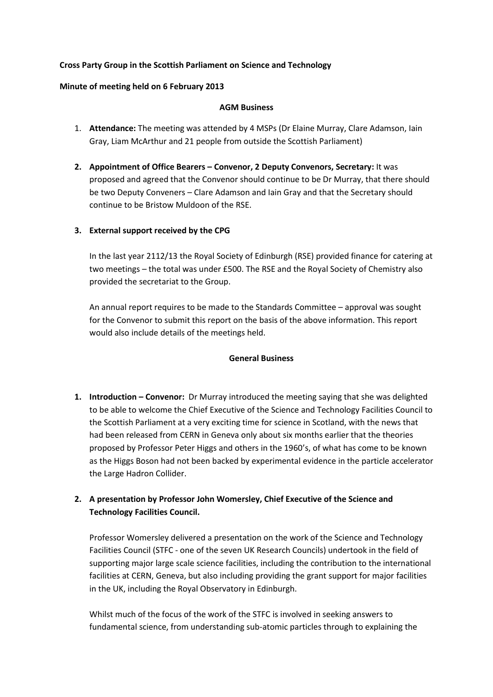## **Cross Party Group in the Scottish Parliament on Science and Technology**

### **Minute of meeting held on 6 February 2013**

### **AGM Business**

- 1. **Attendance:** The meeting was attended by 4 MSPs (Dr Elaine Murray, Clare Adamson, Iain Gray, Liam McArthur and 21 people from outside the Scottish Parliament)
- **2. Appointment of Office Bearers – Convenor, 2 Deputy Convenors, Secretary:** It was proposed and agreed that the Convenor should continue to be Dr Murray, that there should be two Deputy Conveners – Clare Adamson and Iain Gray and that the Secretary should continue to be Bristow Muldoon of the RSE.
- **3. External support received by the CPG**

In the last year 2112/13 the Royal Society of Edinburgh (RSE) provided finance for catering at two meetings – the total was under £500. The RSE and the Royal Society of Chemistry also provided the secretariat to the Group.

An annual report requires to be made to the Standards Committee – approval was sought for the Convenor to submit this report on the basis of the above information. This report would also include details of the meetings held.

# **General Business**

- **1. Introduction – Convenor:** Dr Murray introduced the meeting saying that she was delighted to be able to welcome the Chief Executive of the Science and Technology Facilities Council to the Scottish Parliament at a very exciting time for science in Scotland, with the news that had been released from CERN in Geneva only about six months earlier that the theories proposed by Professor Peter Higgs and others in the 1960's, of what has come to be known as the Higgs Boson had not been backed by experimental evidence in the particle accelerator the Large Hadron Collider.
- **2. A presentation by Professor John Womersley, Chief Executive of the Science and Technology Facilities Council.**

Professor Womersley delivered a presentation on the work of the Science and Technology Facilities Council (STFC - one of the seven UK Research Councils) undertook in the field of supporting major large scale science facilities, including the contribution to the international facilities at CERN, Geneva, but also including providing the grant support for major facilities in the UK, including the Royal Observatory in Edinburgh.

Whilst much of the focus of the work of the STFC is involved in seeking answers to fundamental science, from understanding sub-atomic particles through to explaining the